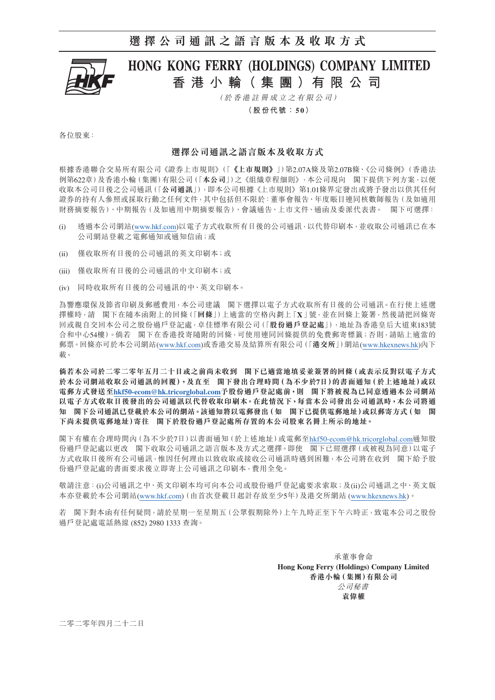## **選擇公司通訊之語言版本及收取方式**



# HONG KONG FERRY (HOLDINGS) COMPANY LIMITED **香港小輪( 集 團 )有限公司**

(於香港註冊成立之有限公司)

**(股份代號:5 0)**

各位股東:

### **選擇公司通訊之語言版本及收取方式**

根據香港聯合交易所有限公司《證券上市規則》(「**《上市規則》**」)第2.07A條及第2.07B條、《公司條例》(香港法 例第622章)及香港小輪(集團)有限公司(「**本公司**」)之《組織章程細則》,本公司現向 閣下提供下列方案,以便 收取本公司日後之公司通訊(「**公司通訊**」),即本公司根據《上市規則》第1.01條界定發出或將予發出以供其任何 證券的持有人參照或採取行動之任何文件,其中包括但不限於:董事會報告、年度賬目連同核數師報告(及如適用 財務摘要報告)、中期報告(及如適用中期摘要報告)、會議通告、上市文件、通函及委派代表書。 閣下可選擇:

- (i) 透過本公司網站(www.hkf.com)以電子方式收取所有日後的公司通訊,以代替印刷本,並收取公司通訊已在本 公司網站登載之電郵通知或通知信函;或
- (ii) 僅收取所有日後的公司通訊的英文印刷本;或
- (iii) 僅收取所有日後的公司通訊的中文印刷本;或
- (iv) 同時收取所有日後的公司通訊的中、英文印刷本。

為響應環保及節省印刷及郵遞費用,本公司建議 閣下選擇以電子方式收取所有日後的公司通訊。在行使上述選 擇權時,請 閣下在隨本函附上的回條(「**回條**」)上適當的空格內劃上「**X**」號,並在回條上簽署,然後請把回條寄 回或親自交回本公司之股份過戶登記處,卓佳標準有限公司(「**股份過戶登記處**」),地址為香港皇后大道東183號 合和中心54樓)。倘若 閣下在香港投寄隨附的回條,可使用連同回條提供的免費郵寄標籤;否則,請貼上適當的 郵票。回條亦可於本公司網站(www.hkf.com)或香港交易及結算所有限公司(「**港交所**」)網站(www.hkexnews.hk)內下 載。

**倘若本公司於二零二零年五月二十日或之前尚未收到 閣下已適當地填妥並簽署的回條(或表示反對以電子方式 於本公司網站收取公司通訊的回覆),及直至 閣下發出合理時間(為不少於7日)的書面通知(於上述地址)或以 電郵方式發送至[hkf50-ecom@hk.tricorglobal.com](mailto:hkf50-ecom%40hk.tricorglobal.com?subject=hkf50-ecom%40hk.tricorglobal.com)予股份過戶登記處前,則 閣下將被視為已同意透過本公司網站 以電子方式收取日後發出的公司通訊以代替收取印刷本。在此情況下,每當本公司發出公司通訊時,本公司將通 知 閣下公司通訊已登載於本公司的網站。該通知將以電郵發出(如 閣下已提供電郵地址)或以郵寄方式(如 閣 下尚未提供電郵地址)寄往 閣下於股份過戶登記處所存置的本公司股東名冊上所示的地址。**

閣下有權在合理時間內(為不少於7日)以書面通知(於上述地址)或電郵至[hkf50-ecom@hk.tricorglobal.com](mailto:hkf50-ecom%40hk.tricorglobal.com?subject=hkf50-ecom%40hk.tricorglobal.com)通知股 份過戶登記處以更改 閣下收取公司通訊之語言版本及方式之選擇。即使 閣下已經選擇(或被視為同意)以電子 方式收取日後所有公司通訊,惟因任何理由以致收取或接收公司通訊時遇到困難,本公司將在收到 閣下給予股 份過戶登記處的書面要求後立即寄上公司通訊之印刷本,費用全免。

敬請注意:(i)公司通訊之中、英文印刷本均可向本公司或股份過戶登記處要求索取;及(ii)公司通訊之中、英文版 本亦登載於本公司網站(www.hkf.com)(由首次登載日起計存放至少5年)及港交所網站 (www.hkexnews.hk)。

若 閣下對本函有任何疑問,請於星期一至星期五(公眾假期除外)上午九時正至下午六時正,致電本公司之股份 過戶登記處電話熱線 (852) 2980 1333 查詢。

> 承董事會命 **Hong Kong Ferry (Holdings) Company Limited 香港小輪(集團)有限公司** 公司秘書 **袁偉權**

二零二零年四月二十二日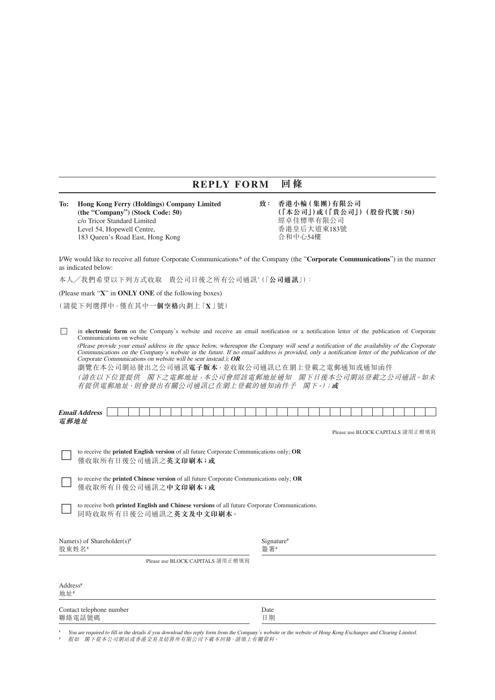### **REPLY FORM 回條**

**To: Hong Kong Ferry (Holdings) Company Limited 致: 香港小輪(集團)有限公司** c/o Tricor Standard Limited 經卓佳標準有限公司<br>Level 54. Hopewell Centre. 香港皇后大道東183號 Level 54, Hopewell Centre, 183 Queen's Road East, Hong Kong http://www.facebook.com/discreent/state/discreen

 **(the "Company") (Stock Code: 50) (「本公司」)或(「貴公司」)(股份代號:50)**

I/We would like to receive all future Corporate Communications\* of the Company (the "**Corporate Communications**") in the manner as indicated below:

本人╱我們希望以下列方式收取 貴公司日後之所有公司通訊\* (「**公司通訊**」):

(Please mark "**X**" in **ONLY ONE** of the following boxes)

(請從下列選擇中,僅在其中**一個空格**內劃上「**X**」號)

□ in **electronic form** on the Company's website and receive an email notification or a notification letter of the publication of Corporate Communications on website

(Please provide your email address in the space below, whereupon the Company will send a notification of the availability of the Corporate Communications on the Company's website in the future. If no email address is provided, only a notification letter of the publication of the Corporate Communications on website will be sent instead.); **OR**

瀏覽在本公司網站發出之公司通訊**電子版本**,並收取公司通訊已在網上登載之電郵通知或通知函件

(請在以下位置提供 閣下之電郵地址,本公司會經該電郵地址通知 閣下日後本公司網站登載之公司通訊。如未 有提供電郵地址,則會發出有關公司通訊已在網上登載的通知函件予 閣下。);**或**

| <b>Email</b><br>. .<br>$P^* \cap C^* \cap C$ |  |  |  |  |  |  |  |  |  |  |  |  |  |  |  |  |
|----------------------------------------------|--|--|--|--|--|--|--|--|--|--|--|--|--|--|--|--|
| 電郵地址                                         |  |  |  |  |  |  |  |  |  |  |  |  |  |  |  |  |

Please use BLOCK CAPITALS 請用正楷填寫

□ to receive the **printed English version** of all future Corporate Communications only; **OR** 僅收取所有日後公司通訊之**英文印刷本;或**

□ to receive the **printed Chinese version** of all future Corporate Communications only; **OR** 僅收取所有日後公司通訊之**中文印刷本;或**

to receive both **printed English and Chinese versions** of all future Corporate Communications. 同時收取所有日後公司通訊之**英文及中文印刷本**。

| Name(s) of Shareholder(s) <sup>#</sup><br>股東姓名# |                                  | Signature <sup>#</sup><br>答署# |  |
|-------------------------------------------------|----------------------------------|-------------------------------|--|
|                                                 | Please use BLOCK CAPITALS 請用正楷填寫 |                               |  |

| Address <sup>#</sup><br>地址#        |            |  |
|------------------------------------|------------|--|
| Contact telephone number<br>聯絡電話號碼 | Date<br>日期 |  |

You are required to fill in the details if you download this reply form from the Company's website or the website of Hong Kong Exchanges and Clearing Limited. # 假如 閣下從本公司網站或香港交易及結算所有限公司下載本回條,請填上有關資料。